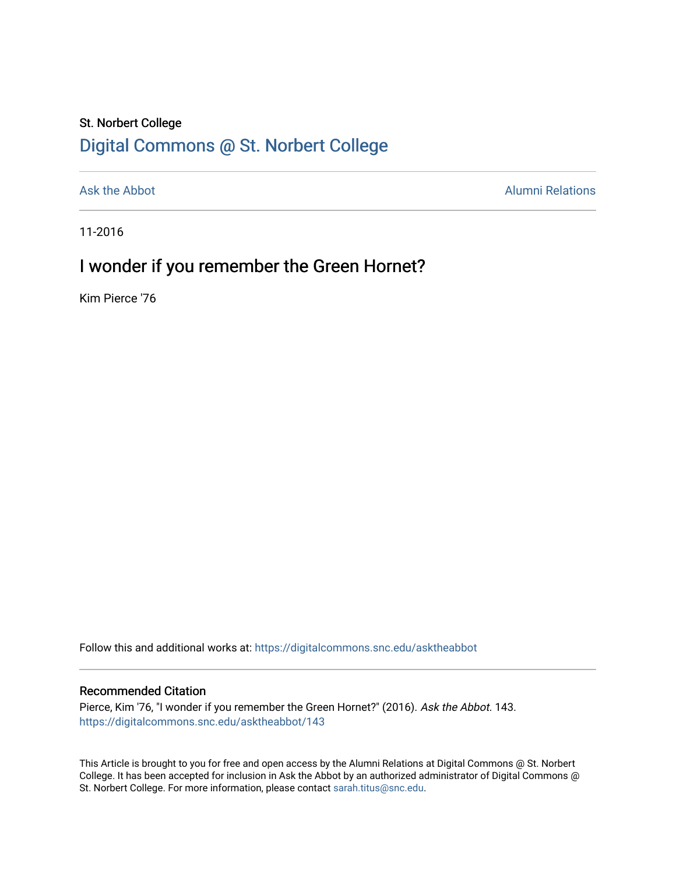### St. Norbert College [Digital Commons @ St. Norbert College](https://digitalcommons.snc.edu/)

[Ask the Abbot](https://digitalcommons.snc.edu/asktheabbot) **Alumni Relations** Ask the Abbot [Alumni Relations](https://digitalcommons.snc.edu/alumni) and Alumni Relations and Alumni Relations and Alumni Relations and Alumni Relations and Alumni Relations and Alumni Relations and Alumni Relations and Alumni

11-2016

## I wonder if you remember the Green Hornet?

Kim Pierce '76

Follow this and additional works at: [https://digitalcommons.snc.edu/asktheabbot](https://digitalcommons.snc.edu/asktheabbot?utm_source=digitalcommons.snc.edu%2Fasktheabbot%2F143&utm_medium=PDF&utm_campaign=PDFCoverPages)

#### Recommended Citation

Pierce, Kim '76, "I wonder if you remember the Green Hornet?" (2016). Ask the Abbot. 143. [https://digitalcommons.snc.edu/asktheabbot/143](https://digitalcommons.snc.edu/asktheabbot/143?utm_source=digitalcommons.snc.edu%2Fasktheabbot%2F143&utm_medium=PDF&utm_campaign=PDFCoverPages) 

This Article is brought to you for free and open access by the Alumni Relations at Digital Commons @ St. Norbert College. It has been accepted for inclusion in Ask the Abbot by an authorized administrator of Digital Commons @ St. Norbert College. For more information, please contact [sarah.titus@snc.edu.](mailto:sarah.titus@snc.edu)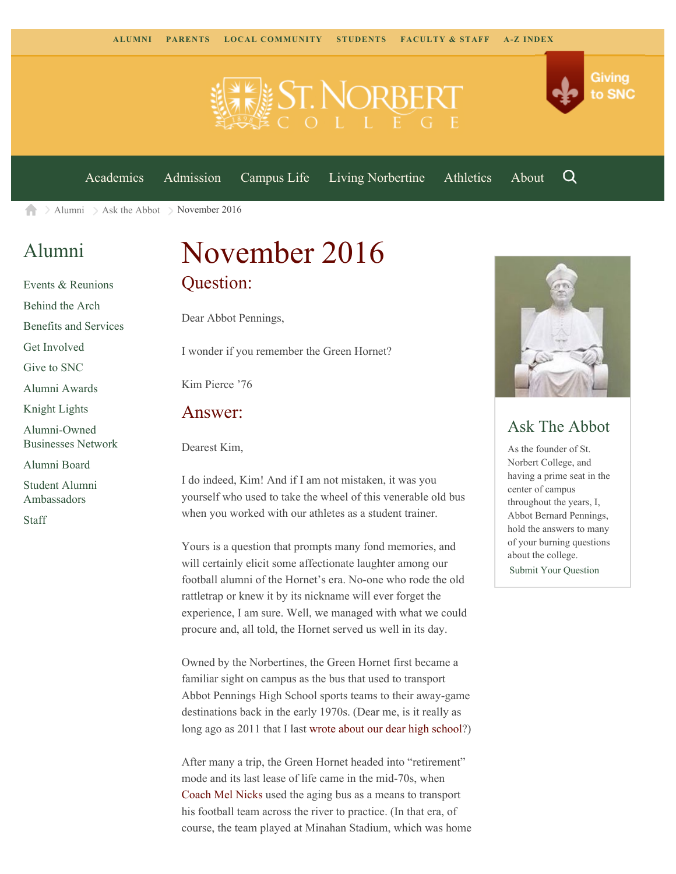

[Academics](https://www.snc.edu/academics) [Admission](https://www.snc.edu/admission) [Campus Life](https://www.snc.edu/campuslife) [Living Norbertine](https://www.snc.edu/livingnorbertine) [Athletics](https://www.snc.edu/athletics) [About](https://www.snc.edu/about)

Q

Giving

to SNC

 $\geq$  [Alumni](https://www.snc.edu/alumni/)  $\geq$  [Ask the Abbot](https://www.snc.edu/alumni/abbot/)  $\geq$  November 2016 A

## [Alumni](https://www.snc.edu/alumni/index.html)

[Events & Reunions](https://www.snc.edu/alumni/event/index.html) [Behind the Arch](https://www.snc.edu/alumni/event/behindthearch/) [Benefits and Services](https://www.snc.edu/alumni/benefits.html) [Get Involved](https://www.snc.edu/alumni/getinvolved.html) [Give to SNC](http://giving.snc.edu/) [Alumni Awards](https://www.snc.edu/alumni/awards/index.html) [Knight Lights](https://www.snc.edu/alumni/knightlights/index.html) [Alumni-Owned](https://www.snc.edu/alumni/directory/index.html) [Businesses Network](https://www.snc.edu/alumni/directory/index.html) [Alumni Board](https://www.snc.edu/alumni/alumniboard.html) [Student Alumni](https://www.snc.edu/alumni/saa.html) [Ambassadors](https://www.snc.edu/alumni/saa.html)

[Staff](https://www.snc.edu/alumni/contactus.html)

# November 2016 Question:

Dear Abbot Pennings,

I wonder if you remember the Green Hornet?

Kim Pierce '76

#### Answer:

Dearest Kim,

I do indeed, Kim! And if I am not mistaken, it was you yourself who used to take the wheel of this venerable old bus when you worked with our athletes as a student trainer.

Yours is a question that prompts many fond memories, and will certainly elicit some affectionate laughter among our football alumni of the Hornet's era. No-one who rode the old rattletrap or knew it by its nickname will ever forget the experience, I am sure. Well, we managed with what we could procure and, all told, the Hornet served us well in its day.

Owned by the Norbertines, the Green Hornet first became a familiar sight on campus as the bus that used to transport Abbot Pennings High School sports teams to their away-game destinations back in the early 1970s. (Dear me, is it really as long ago as 2011 that I last [wrote about our dear high school](http://www.snc.edu/alumni/abbot/201103.html)?)

After many a trip, the Green Hornet headed into "retirement" mode and its last lease of life came in the mid-70s, when [Coach Mel Nicks](http://www.snc.edu/alumni/abbot/201007.html) used the aging bus as a means to transport his football team across the river to practice. (In that era, of course, the team played at Minahan Stadium, which was home



#### Ask The Abbot

As the founder of St. Norbert College, and having a prime seat in the center of campus throughout the years, I, Abbot Bernard Pennings, hold the answers to many of your burning questions about the college. [Submit Your Question](https://www.snc.edu/alumni/abbot/index.html)